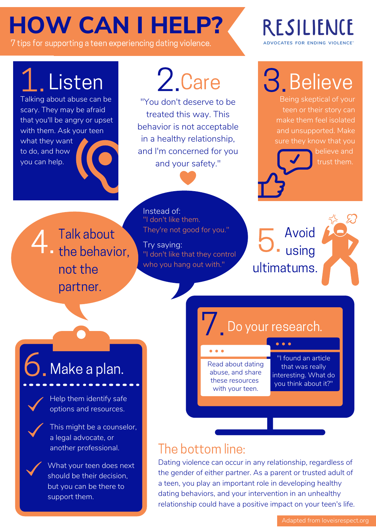## **HOW CAN I HELP?**

7 tips for supporting a teen experiencing dating violence.

Talking about abuse can be scary. They may be afraid that you'll be angry or upset with them. Ask your teen what they want to do, and how you can help.

## 2.Care

"You don't deserve to be treated this way. This behavior is not acceptable in a healthy relationship, and I'm concerned for you and your safety."

RESILIENCE ADVOCATES FOR ENDING VIOLENCE

Listen 2.Care 3. Believe

Being skeptical of your teen or their story can make them feel isolated and unsupported. Make sure they know that you

> believe and trust them.

Talk about 4. Talk about not the partner.

Instead of: "I don't like them. They're not good for you."

"I don't like that they control who you hang out with." Try saying:

Avoid using ultimatums. 5.



# Make a plan. 6.



Help them identify safe options and resources.



This might be a counselor, a legal advocate, or another professional.

What your teen does next should be their decision, but you can be there to support them.

### **7** Do your research.

Read about dating abuse, and share these resources with your teen.

"I found an article that was really interesting. What do you think about it?"

### The bottom line:

Dating violence can occur in any relationship, regardless of the gender of either partner. As a parent or trusted adult of a teen, you play an important role in developing healthy dating behaviors, and your intervention in an unhealthy relationship could have a positive impact on your teen's life.